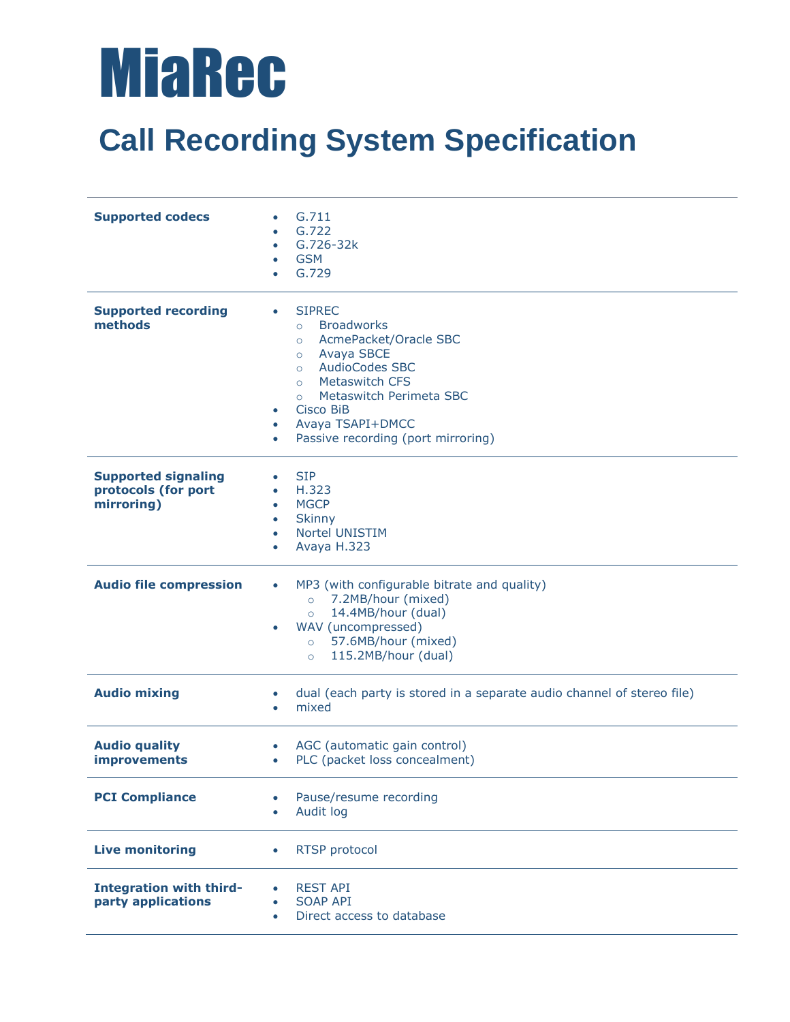## MiaRec

## **Call Recording System Specification**

| <b>Supported codecs</b>                                         | G.711<br>G.722<br>G.726-32k<br>$\bullet$<br><b>GSM</b><br>$\bullet$<br>G.729<br>$\bullet$                                                                                                                                                                                                                                                           |
|-----------------------------------------------------------------|-----------------------------------------------------------------------------------------------------------------------------------------------------------------------------------------------------------------------------------------------------------------------------------------------------------------------------------------------------|
| <b>Supported recording</b><br>methods                           | <b>SIPREC</b><br>$\bullet$<br><b>Broadworks</b><br>$\circ$<br>AcmePacket/Oracle SBC<br>$\circ$<br>Avaya SBCE<br>$\circ$<br><b>AudioCodes SBC</b><br>$\circ$<br><b>Metaswitch CFS</b><br>$\circ$<br>Metaswitch Perimeta SBC<br>$\circ$<br>Cisco BiB<br>$\bullet$<br>Avaya TSAPI+DMCC<br>$\bullet$<br>Passive recording (port mirroring)<br>$\bullet$ |
| <b>Supported signaling</b><br>protocols (for port<br>mirroring) | <b>SIP</b><br>$\bullet$<br>H.323<br>$\bullet$<br><b>MGCP</b><br>$\bullet$<br><b>Skinny</b><br>$\bullet$<br>Nortel UNISTIM<br>$\bullet$<br>Avaya H.323<br>$\bullet$                                                                                                                                                                                  |
| <b>Audio file compression</b>                                   | MP3 (with configurable bitrate and quality)<br>$\bullet$<br>7.2MB/hour (mixed)<br>$\circ$<br>14.4MB/hour (dual)<br>$\circ$<br>WAV (uncompressed)<br>57.6MB/hour (mixed)<br>$\circ$<br>115.2MB/hour (dual)<br>$\circ$                                                                                                                                |
| <b>Audio mixing</b>                                             | dual (each party is stored in a separate audio channel of stereo file)<br>$\bullet$<br>mixed<br>$\bullet$                                                                                                                                                                                                                                           |
| <b>Audio quality</b><br><b>improvements</b>                     | AGC (automatic gain control)<br>$\bullet$<br>PLC (packet loss concealment)<br>$\bullet$                                                                                                                                                                                                                                                             |
| <b>PCI Compliance</b>                                           | Pause/resume recording<br>$\bullet$<br>Audit log<br>$\bullet$                                                                                                                                                                                                                                                                                       |
| <b>Live monitoring</b>                                          | <b>RTSP</b> protocol<br>$\bullet$                                                                                                                                                                                                                                                                                                                   |
| <b>Integration with third-</b><br>party applications            | REST API<br>$\bullet$<br><b>SOAP API</b><br>$\bullet$<br>Direct access to database<br>$\bullet$                                                                                                                                                                                                                                                     |